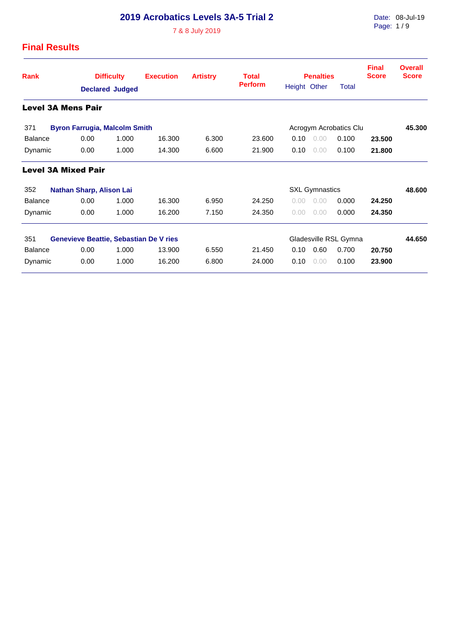# **2019 Acrobatics Levels 3A-5 Trial 2**

7 & 8 July 2019

### **Final Results**

| <b>Rank</b>               |                            | <b>Difficulty</b>      |                                               | <b>Execution</b> | <b>Artistry</b> | <b>Total</b>          | <b>Penalties</b>       |      |                       | <b>Final</b><br><b>Score</b> | <b>Overall</b><br><b>Score</b> |  |
|---------------------------|----------------------------|------------------------|-----------------------------------------------|------------------|-----------------|-----------------------|------------------------|------|-----------------------|------------------------------|--------------------------------|--|
|                           |                            | <b>Declared Judged</b> |                                               |                  |                 | <b>Perform</b>        | Height Other           |      | <b>Total</b>          |                              |                                |  |
| <b>Level 3A Mens Pair</b> |                            |                        |                                               |                  |                 |                       |                        |      |                       |                              |                                |  |
| 371                       |                            |                        | <b>Byron Farrugia, Malcolm Smith</b>          |                  |                 |                       | Acrogym Acrobatics Clu |      | 45.300                |                              |                                |  |
| <b>Balance</b>            |                            | 0.00                   | 1.000                                         | 16.300           | 6.300           | 23,600                | 0.10                   | 0.00 | 0.100                 | 23.500                       |                                |  |
| Dynamic                   |                            | 0.00                   | 1.000                                         | 14.300           | 6.600           | 21.900                | 0.10                   | 0.00 | 0.100                 | 21.800                       |                                |  |
|                           | <b>Level 3A Mixed Pair</b> |                        |                                               |                  |                 |                       |                        |      |                       |                              |                                |  |
| 352                       |                            |                        | <b>Nathan Sharp, Alison Lai</b>               |                  |                 | <b>SXL Gymnastics</b> | 48.600                 |      |                       |                              |                                |  |
| <b>Balance</b>            |                            | 0.00                   | 1.000                                         | 16.300           | 6.950           | 24.250                | 0.00                   | 0.00 | 0.000                 | 24.250                       |                                |  |
| Dynamic                   |                            | 0.00                   | 1.000                                         | 16.200           | 7.150           | 24.350                | 0.00                   | 0.00 | 0.000                 | 24.350                       |                                |  |
| 351                       |                            |                        | <b>Genevieve Beattie, Sebastian De V ries</b> |                  |                 |                       |                        |      | Gladesville RSL Gymna |                              | 44.650                         |  |
| <b>Balance</b>            |                            | 0.00                   | 1.000                                         | 13.900           | 6.550           | 21.450                | 0.10                   | 0.60 | 0.700                 | 20.750                       |                                |  |
| Dynamic                   |                            | 0.00                   | 1.000                                         | 16.200           | 6.800           | 24,000                | 0.10                   | 0.00 | 0.100                 | 23.900                       |                                |  |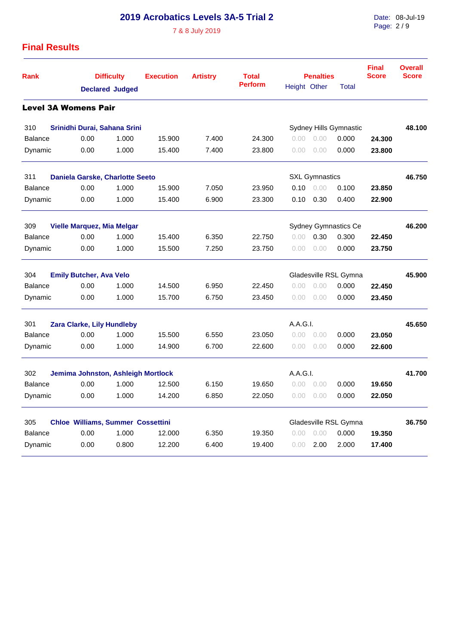# **2019 Acrobatics Levels 3A-5 Trial 2**

7 & 8 July 2019

Date: 08-Jul-19 Page: 2 / 9

### **Final Results**

| <b>Rank</b>                 | <b>Difficulty</b><br><b>Declared Judged</b>                      |       | <b>Execution</b> | <b>Artistry</b> | <b>Total</b><br><b>Perform</b> |              | <b>Penalties</b>      | <b>Final</b><br><b>Score</b> | <b>Overall</b><br><b>Score</b> |        |
|-----------------------------|------------------------------------------------------------------|-------|------------------|-----------------|--------------------------------|--------------|-----------------------|------------------------------|--------------------------------|--------|
|                             |                                                                  |       |                  |                 |                                | Height Other |                       | <b>Total</b>                 |                                |        |
| <b>Level 3A Womens Pair</b> |                                                                  |       |                  |                 |                                |              |                       |                              |                                |        |
| 310                         | Srinidhi Durai, Sahana Srini<br>Sydney Hills Gymnastic           |       |                  |                 |                                |              |                       |                              | 48.100                         |        |
| <b>Balance</b>              | 0.00                                                             | 1.000 | 15.900           | 7.400           | 24.300                         | 0.00         | 0.00                  | 0.000                        | 24.300                         |        |
| Dynamic                     | 0.00                                                             | 1.000 | 15.400           | 7.400           | 23.800                         | 0.00         | 0.00                  | 0.000                        | 23,800                         |        |
| 311                         | Daniela Garske, Charlotte Seeto                                  |       |                  |                 |                                |              | <b>SXL Gymnastics</b> |                              |                                | 46.750 |
| <b>Balance</b>              | 0.00                                                             | 1.000 | 15.900           | 7.050           | 23.950                         | 0.10         | 0.00                  | 0.100                        | 23.850                         |        |
| Dynamic                     | 0.00                                                             | 1.000 | 15.400           | 6.900           | 23.300                         | 0.10         | 0.30                  | 0.400                        | 22.900                         |        |
| 309                         | <b>Sydney Gymnastics Ce</b><br><b>Vielle Marquez, Mia Melgar</b> |       |                  |                 |                                |              |                       |                              |                                | 46.200 |
| <b>Balance</b>              | 0.00                                                             | 1.000 | 15.400           | 6.350           | 22.750                         | 0.00         | 0.30                  | 0.300                        | 22.450                         |        |
| Dynamic                     | 0.00                                                             | 1.000 | 15.500           | 7.250           | 23.750                         | 0.00         | 0.00                  | 0.000                        | 23.750                         |        |
| 304                         | <b>Emily Butcher, Ava Velo</b>                                   |       |                  |                 |                                |              |                       | Gladesville RSL Gymna        |                                | 45.900 |
| <b>Balance</b>              | 0.00                                                             | 1.000 | 14.500           | 6.950           | 22.450                         | 0.00         | 0.00                  | 0.000                        | 22.450                         |        |
| Dynamic                     | 0.00                                                             | 1.000 | 15.700           | 6.750           | 23.450                         | 0.00         | 0.00                  | 0.000                        | 23.450                         |        |
| 301                         | Zara Clarke, Lily Hundleby                                       |       |                  |                 |                                | A.A.G.I.     |                       |                              |                                | 45.650 |
| <b>Balance</b>              | 0.00                                                             | 1.000 | 15.500           | 6.550           | 23.050                         | 0.00         | 0.00                  | 0.000                        | 23.050                         |        |
| Dynamic                     | 0.00                                                             | 1.000 | 14.900           | 6.700           | 22.600                         | 0.00         | 0.00                  | 0.000                        | 22.600                         |        |
| 302                         | Jemima Johnston, Ashleigh Mortlock                               |       |                  |                 |                                | A.A.G.I.     |                       |                              |                                | 41.700 |
| <b>Balance</b>              | 0.00                                                             | 1.000 | 12.500           | 6.150           | 19.650                         | 0.00         | 0.00                  | 0.000                        | 19.650                         |        |
| Dynamic                     | 0.00                                                             | 1.000 | 14.200           | 6.850           | 22.050                         | 0.00         | 0.00                  | 0.000                        | 22.050                         |        |
| 305                         | <b>Chloe Williams, Summer Cossettini</b>                         |       |                  |                 |                                |              |                       | Gladesville RSL Gymna        |                                | 36.750 |
| <b>Balance</b>              | 0.00                                                             | 1.000 | 12.000           | 6.350           | 19.350                         | 0.00         | 0.00                  | 0.000                        | 19.350                         |        |
| Dynamic                     | 0.00                                                             | 0.800 | 12.200           | 6.400           | 19.400                         | 0.00         | 2.00                  | 2.000                        | 17.400                         |        |